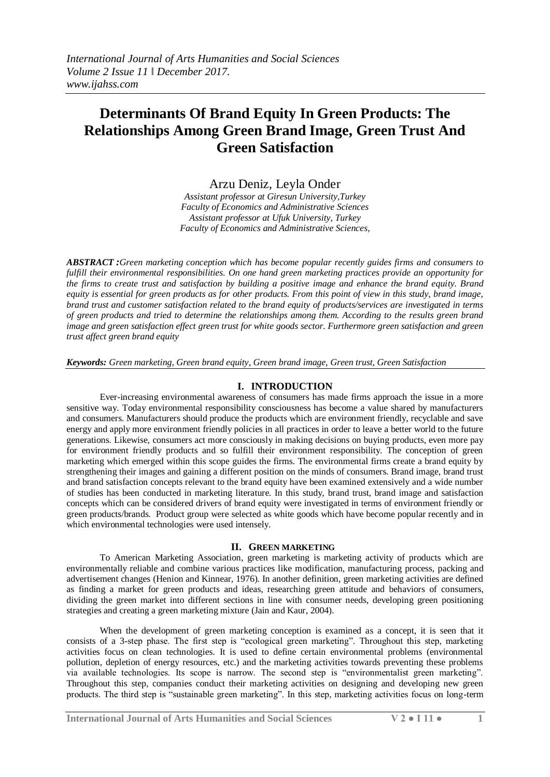# **Determinants Of Brand Equity In Green Products: The Relationships Among Green Brand Image, Green Trust And Green Satisfaction**

Arzu Deniz, Leyla Onder

*Assistant professor at Giresun University,Turkey Faculty of Economics and Administrative Sciences Assistant professor at Ufuk University, Turkey Faculty of Economics and Administrative Sciences,*

*ABSTRACT :Green marketing conception which has become popular recently guides firms and consumers to fulfill their environmental responsibilities. On one hand green marketing practices provide an opportunity for the firms to create trust and satisfaction by building a positive image and enhance the brand equity. Brand equity is essential for green products as for other products. From this point of view in this study, brand image, brand trust and customer satisfaction related to the brand equity of products/services are investigated in terms of green products and tried to determine the relationships among them. According to the results green brand image and green satisfaction effect green trust for white goods sector. Furthermore green satisfaction and green trust affect green brand equity*

*Keywords: Green marketing, Green brand equity, Green brand image, Green trust, Green Satisfaction* 

## **I. INTRODUCTION**

Ever-increasing environmental awareness of consumers has made firms approach the issue in a more sensitive way. Today environmental responsibility consciousness has become a value shared by manufacturers and consumers. Manufacturers should produce the products which are environment friendly, recyclable and save energy and apply more environment friendly policies in all practices in order to leave a better world to the future generations. Likewise, consumers act more consciously in making decisions on buying products, even more pay for environment friendly products and so fulfill their environment responsibility. The conception of green marketing which emerged within this scope guides the firms. The environmental firms create a brand equity by strengthening their images and gaining a different position on the minds of consumers. Brand image, brand trust and brand satisfaction concepts relevant to the brand equity have been examined extensively and a wide number of studies has been conducted in marketing literature. In this study, brand trust, brand image and satisfaction concepts which can be considered drivers of brand equity were investigated in terms of environment friendly or green products/brands. Product group were selected as white goods which have become popular recently and in which environmental technologies were used intensely.

#### **II. GREEN MARKETING**

To American Marketing Association, green marketing is marketing activity of products which are environmentally reliable and combine various practices like modification, manufacturing process, packing and advertisement changes (Henion and Kinnear, 1976). In another definition, green marketing activities are defined as finding a market for green products and ideas, researching green attitude and behaviors of consumers, dividing the green market into different sections in line with consumer needs, developing green positioning strategies and creating a green marketing mixture (Jain and Kaur, 2004).

When the development of green marketing conception is examined as a concept, it is seen that it consists of a 3-step phase. The first step is "ecological green marketing". Throughout this step, marketing activities focus on clean technologies. It is used to define certain environmental problems (environmental pollution, depletion of energy resources, etc.) and the marketing activities towards preventing these problems via available technologies. Its scope is narrow. The second step is "environmentalist green marketing". Throughout this step, companies conduct their marketing activities on designing and developing new green products. The third step is "sustainable green marketing". In this step, marketing activities focus on long-term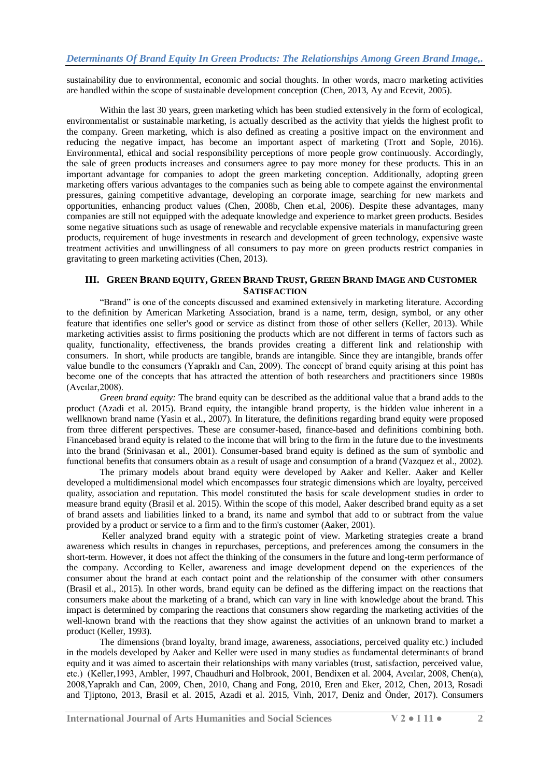sustainability due to environmental, economic and social thoughts. In other words, macro marketing activities are handled within the scope of sustainable development conception (Chen, 2013, Ay and Ecevit, 2005).

Within the last 30 years, green marketing which has been studied extensively in the form of ecological, environmentalist or sustainable marketing, is actually described as the activity that yields the highest profit to the company. Green marketing, which is also defined as creating a positive impact on the environment and reducing the negative impact, has become an important aspect of marketing (Trott and Sople, 2016). Environmental, ethical and social responsibility perceptions of more people grow continuously. Accordingly, the sale of green products increases and consumers agree to pay more money for these products. This in an important advantage for companies to adopt the green marketing conception. Additionally, adopting green marketing offers various advantages to the companies such as being able to compete against the environmental pressures, gaining competitive advantage, developing an corporate image, searching for new markets and opportunities, enhancing product values (Chen, 2008b, Chen et.al, 2006). Despite these advantages, many companies are still not equipped with the adequate knowledge and experience to market green products. Besides some negative situations such as usage of renewable and recyclable expensive materials in manufacturing green products, requirement of huge investments in research and development of green technology, expensive waste treatment activities and unwillingness of all consumers to pay more on green products restrict companies in gravitating to green marketing activities (Chen, 2013).

### **III. GREEN BRAND EQUITY, GREEN BRAND TRUST, GREEN BRAND IMAGE AND CUSTOMER SATISFACTION**

"Brand" is one of the concepts discussed and examined extensively in marketing literature. According to the definition by American Marketing Association, brand is a name, term, design, symbol, or any other feature that identifies one seller's good or service as distinct from those of other sellers (Keller, 2013). While marketing activities assist to firms positioning the products which are not different in terms of factors such as quality, functionality, effectiveness, the brands provides creating a different link and relationship with consumers. In short, while products are tangible, brands are intangible. Since they are intangible, brands offer value bundle to the consumers (Yapraklı and Can, 2009). The concept of brand equity arising at this point has become one of the concepts that has attracted the attention of both researchers and practitioners since 1980s (Avcılar,2008).

*Green brand equity:* The brand equity can be described as the additional value that a brand adds to the product (Azadi et al. 2015). Brand equity, the intangible brand property, is the hidden value inherent in a wellknown brand name (Yasin et al., 2007). In literature, the definitions regarding brand equity were proposed from three different perspectives. These are consumer-based, finance-based and definitions combining both. Financebased brand equity is related to the income that will bring to the firm in the future due to the investments into the brand (Srinivasan et al., 2001). Consumer-based brand equity is defined as the sum of symbolic and functional benefits that consumers obtain as a result of usage and consumption of a brand (Vazquez et al., 2002).

The primary models about brand equity were developed by Aaker and Keller. Aaker and Keller developed a multidimensional model which encompasses four strategic dimensions which are loyalty, perceived quality, association and reputation. This model constituted the basis for scale development studies in order to measure brand equity (Brasil et al. 2015). Within the scope of this model, Aaker described brand equity as a set of brand assets and liabilities linked to a brand, its name and symbol that add to or subtract from the value provided by a product or service to a firm and to the firm's customer (Aaker, 2001).

Keller analyzed brand equity with a strategic point of view. Marketing strategies create a brand awareness which results in changes in repurchases, perceptions, and preferences among the consumers in the short-term. However, it does not affect the thinking of the consumers in the future and long-term performance of the company. According to Keller, awareness and image development depend on the experiences of the consumer about the brand at each contact point and the relationship of the consumer with other consumers (Brasil et al., 2015). In other words, brand equity can be defined as the differing impact on the reactions that consumers make about the marketing of a brand, which can vary in line with knowledge about the brand. This impact is determined by comparing the reactions that consumers show regarding the marketing activities of the well-known brand with the reactions that they show against the activities of an unknown brand to market a product (Keller, 1993).

The dimensions (brand loyalty, brand image, awareness, associations, perceived quality etc.) included in the models developed by Aaker and Keller were used in many studies as fundamental determinants of brand equity and it was aimed to ascertain their relationships with many variables (trust, satisfaction, perceived value, etc.) (Keller,1993, Ambler, 1997, Chaudhuri and Holbrook, 2001, Bendixen et al. 2004, Avcılar, 2008, Chen(a), 2008,Yapraklı and Can, 2009, Chen, 2010, Chang and Fong, 2010, Eren and Eker, 2012, Chen, 2013, Rosadi and Tjiptono, 2013, Brasil et al. 2015, Azadi et al. 2015, Vinh, 2017, Deniz and Önder, 2017). Consumers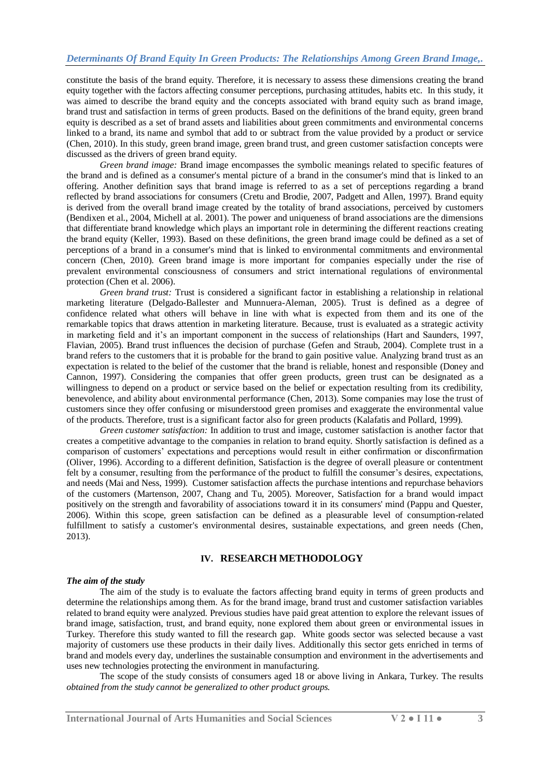constitute the basis of the brand equity. Therefore, it is necessary to assess these dimensions creating the brand equity together with the factors affecting consumer perceptions, purchasing attitudes, habits etc. In this study, it was aimed to describe the brand equity and the concepts associated with brand equity such as brand image, brand trust and satisfaction in terms of green products. Based on the definitions of the brand equity, green brand equity is described as a set of brand assets and liabilities about green commitments and environmental concerns linked to a brand, its name and symbol that add to or subtract from the value provided by a product or service (Chen, 2010). In this study, green brand image, green brand trust, and green customer satisfaction concepts were discussed as the drivers of green brand equity.

*Green brand image:* Brand image encompasses the symbolic meanings related to specific features of the brand and is defined as a consumer's mental picture of a brand in the consumer's mind that is linked to an offering. Another definition says that brand image is referred to as a set of perceptions regarding a brand reflected by brand associations for consumers (Cretu and Brodie, 2007, Padgett and Allen, 1997). Brand equity is derived from the overall brand image created by the totality of brand associations, perceived by customers (Bendixen et al., 2004, Michell at al. 2001). The power and uniqueness of brand associations are the dimensions that differentiate brand knowledge which plays an important role in determining the different reactions creating the brand equity (Keller, 1993). Based on these definitions, the green brand image could be defined as a set of perceptions of a brand in a consumer's mind that is linked to environmental commitments and environmental concern (Chen, 2010). Green brand image is more important for companies especially under the rise of prevalent environmental consciousness of consumers and strict international regulations of environmental protection (Chen et al. 2006).

*Green brand trust:* Trust is considered a significant factor in establishing a relationship in relational marketing literature (Delgado-Ballester and Munnuera-Aleman, 2005). Trust is defined as a degree of confidence related what others will behave in line with what is expected from them and its one of the remarkable topics that draws attention in marketing literature. Because, trust is evaluated as a strategic activity in marketing field and it's an important component in the success of relationships (Hart and Saunders, 1997, Flavian, 2005). Brand trust influences the decision of purchase (Gefen and Straub, 2004). Complete trust in a brand refers to the customers that it is probable for the brand to gain positive value. Analyzing brand trust as an expectation is related to the belief of the customer that the brand is reliable, honest and responsible (Doney and Cannon, 1997). Considering the companies that offer green products, green trust can be designated as a willingness to depend on a product or service based on the belief or expectation resulting from its credibility, benevolence, and ability about environmental performance (Chen, 2013). Some companies may lose the trust of customers since they offer confusing or misunderstood green promises and exaggerate the environmental value of the products. Therefore, trust is a significant factor also for green products (Kalafatis and Pollard, 1999).

*Green customer satisfaction:* In addition to trust and image, customer satisfaction is another factor that creates a competitive advantage to the companies in relation to brand equity. Shortly satisfaction is defined as a comparison of customers' expectations and perceptions would result in either confirmation or disconfirmation (Oliver, 1996). According to a different definition, Satisfaction is the degree of overall pleasure or contentment felt by a consumer, resulting from the performance of the product to fulfill the consumer's desires, expectations, and needs (Mai and Ness, 1999). Customer satisfaction affects the purchase intentions and repurchase behaviors of the customers (Martenson, 2007, Chang and Tu, 2005). Moreover, Satisfaction for a brand would impact positively on the strength and favorability of associations toward it in its consumers' mind (Pappu and Quester, 2006). Within this scope, green satisfaction can be defined as a pleasurable level of consumption-related fulfillment to satisfy a customer's environmental desires, sustainable expectations, and green needs (Chen, 2013).

## **IV. RESEARCH METHODOLOGY**

#### *The aim of the study*

The aim of the study is to evaluate the factors affecting brand equity in terms of green products and determine the relationships among them. As for the brand image, brand trust and customer satisfaction variables related to brand equity were analyzed. Previous studies have paid great attention to explore the relevant issues of brand image, satisfaction, trust, and brand equity, none explored them about green or environmental issues in Turkey. Therefore this study wanted to fill the research gap. White goods sector was selected because a vast majority of customers use these products in their daily lives. Additionally this sector gets enriched in terms of brand and models every day, underlines the sustainable consumption and environment in the advertisements and uses new technologies protecting the environment in manufacturing.

The scope of the study consists of consumers aged 18 or above living in Ankara, Turkey. The results *obtained from the study cannot be generalized to other product groups.*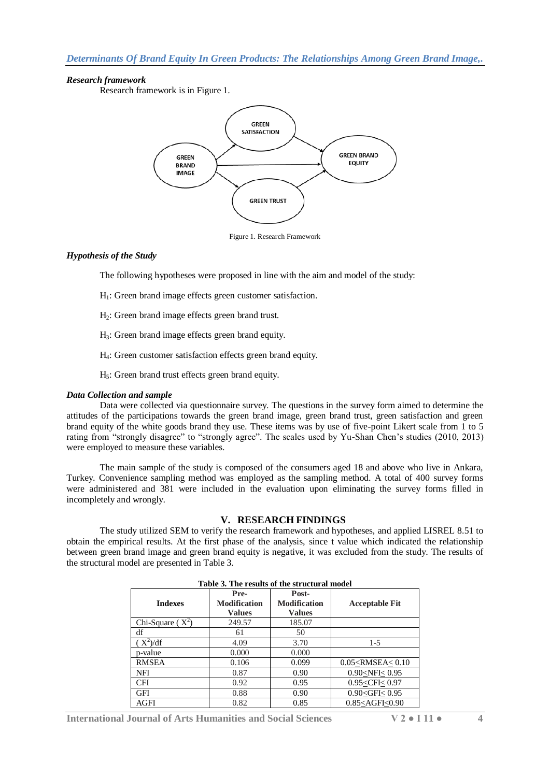## *Research framework*

Research framework is in Figure 1.



Figure 1. Research Framework

## *Hypothesis of the Study*

The following hypotheses were proposed in line with the aim and model of the study:

- H1: Green brand image effects green customer satisfaction.
- H2: Green brand image effects green brand trust.
- H3: Green brand image effects green brand equity.
- H4: Green customer satisfaction effects green brand equity.
- $H<sub>5</sub>$ : Green brand trust effects green brand equity.

#### *Data Collection and sample*

Data were collected via questionnaire survey. The questions in the survey form aimed to determine the attitudes of the participations towards the green brand image, green brand trust, green satisfaction and green brand equity of the white goods brand they use. These items was by use of five-point Likert scale from 1 to 5 rating from "strongly disagree" to "strongly agree". The scales used by Yu-Shan Chen's studies (2010, 2013) were employed to measure these variables.

The main sample of the study is composed of the consumers aged 18 and above who live in Ankara, Turkey. Convenience sampling method was employed as the sampling method. A total of 400 survey forms were administered and 381 were included in the evaluation upon eliminating the survey forms filled in incompletely and wrongly.

## **V. RESEARCH FINDINGS**

The study utilized SEM to verify the research framework and hypotheses, and applied LISREL 8.51 to obtain the empirical results. At the first phase of the analysis, since t value which indicated the relationship between green brand image and green brand equity is negative, it was excluded from the study. The results of the structural model are presented in Table 3.

| rabic 9. The results of the structural model |                                              |                                               |                               |  |  |  |  |  |
|----------------------------------------------|----------------------------------------------|-----------------------------------------------|-------------------------------|--|--|--|--|--|
| <b>Indexes</b>                               | Pre-<br><b>Modification</b><br><b>Values</b> | Post-<br><b>Modification</b><br><b>Values</b> | <b>Acceptable Fit</b>         |  |  |  |  |  |
| Chi-Square $(X^2)$                           | 249.57                                       | 185.07                                        |                               |  |  |  |  |  |
| df                                           | 61                                           | 50                                            |                               |  |  |  |  |  |
| $X^2$ )/df                                   | 4.09                                         | 3.70                                          | $1-5$                         |  |  |  |  |  |
| p-value                                      | 0.000                                        | 0.000                                         |                               |  |  |  |  |  |
| <b>RMSEA</b>                                 | 0.106                                        | 0.099                                         | $0.05 \leq$ RMSEA $\leq 0.10$ |  |  |  |  |  |
| NFI                                          | 0.87                                         | 0.90                                          | $0.90 <$ NFI $< 0.95$         |  |  |  |  |  |
| <b>CFI</b>                                   | 0.92                                         | 0.95                                          | $0.95<$ CFI $< 0.97$          |  |  |  |  |  |
| GFI                                          | 0.88                                         | 0.90                                          | $0.90<$ GFI $< 0.95$          |  |  |  |  |  |
| AGFI                                         | 0.82                                         | 0.85                                          | $0.85 <$ AGFI $<$ 0.90        |  |  |  |  |  |

## **Table 3. The results of the structural model**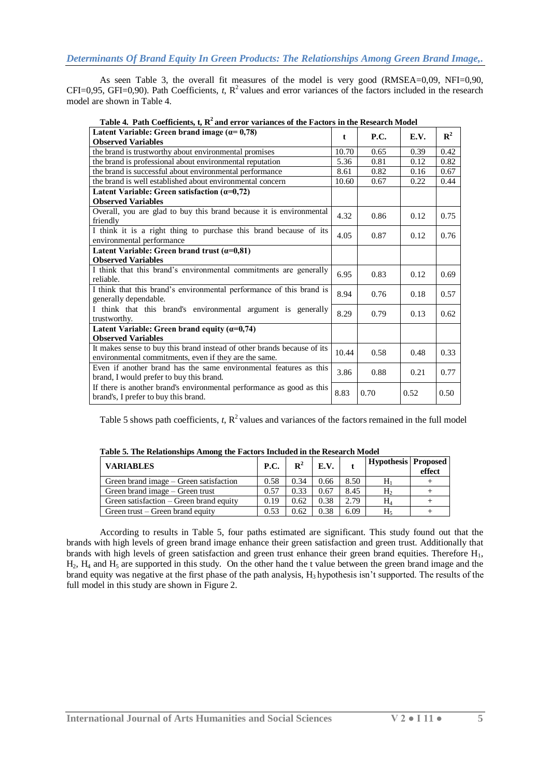As seen Table 3, the overall fit measures of the model is very good (RMSEA=0,09, NFI=0,90, CFI=0,95, GFI=0,90). Path Coefficients,  $t$ ,  $\mathbb{R}^2$  values and error variances of the factors included in the research model are shown in Table 4.

| Table 4. I am coemercius, i, ix and error variances of the Pactors in the ixistat in model                                       |       |             |      |             |
|----------------------------------------------------------------------------------------------------------------------------------|-------|-------------|------|-------------|
| Latent Variable: Green brand image $(a=0,78)$<br><b>Observed Variables</b>                                                       |       | <b>P.C.</b> | E.V. | ${\bf R}^2$ |
| the brand is trustworthy about environmental promises                                                                            | 10.70 | 0.65        | 0.39 | 0.42        |
| the brand is professional about environmental reputation                                                                         | 5.36  | 0.81        | 0.12 | 0.82        |
| the brand is successful about environmental performance                                                                          |       | 0.82        | 0.16 | 0.67        |
| the brand is well established about environmental concern                                                                        | 10.60 | 0.67        | 0.22 | 0.44        |
| Latent Variable: Green satisfaction $(\alpha=0,72)$<br><b>Observed Variables</b>                                                 |       |             |      |             |
| Overall, you are glad to buy this brand because it is environmental<br>friendly                                                  | 4.32  | 0.86        | 0.12 | 0.75        |
| I think it is a right thing to purchase this brand because of its<br>environmental performance                                   |       | 0.87        | 0.12 | 0.76        |
| Latent Variable: Green brand trust $(\alpha=0.81)$<br><b>Observed Variables</b>                                                  |       |             |      |             |
| I think that this brand's environmental commitments are generally<br>reliable.                                                   | 6.95  | 0.83        | 0.12 | 0.69        |
| I think that this brand's environmental performance of this brand is<br>generally dependable.                                    | 8.94  | 0.76        | 0.18 | 0.57        |
| I think that this brand's environmental argument is generally<br>trustworthy.                                                    |       | 0.79        | 0.13 | 0.62        |
| Latent Variable: Green brand equity $(\alpha=0,74)$<br><b>Observed Variables</b>                                                 |       |             |      |             |
| It makes sense to buy this brand instead of other brands because of its<br>environmental commitments, even if they are the same. | 10.44 | 0.58        | 0.48 | 0.33        |
| Even if another brand has the same environmental features as this<br>brand, I would prefer to buy this brand.                    | 3.86  | 0.88        | 0.21 | 0.77        |
| If there is another brand's environmental performance as good as this<br>brand's, I prefer to buy this brand.                    | 8.83  | 0.70        | 0.52 | 0.50        |

**Table 4. Path Coefficients, t, R<sup>2</sup>and error variances of the Factors in the Research Model**

Table 5 shows path coefficients,  $t$ ,  $\mathbb{R}^2$  values and variances of the factors remained in the full model

| Table 5. The Relationships Among the Factors Included in the Research Model |  |
|-----------------------------------------------------------------------------|--|
|-----------------------------------------------------------------------------|--|

| <b>VARIABLES</b>                        | <b>P.C.</b> | $\mathbf{R}^2$ | E.V. |      | Hypothesis   Proposed | effect |
|-----------------------------------------|-------------|----------------|------|------|-----------------------|--------|
| Green brand image – Green satisfaction  |             | 0.34           | 0.66 | 8.50 |                       |        |
| Green brand image – Green trust         |             | 0.33           | 0.67 | 8.45 | H,                    |        |
| Green satisfaction – Green brand equity |             | 0.62           | 0.38 | 2.79 | H۶                    |        |
| Green trust – Green brand equity        |             | 0.62           | 0.38 | 6.09 |                       |        |

According to results in Table 5, four paths estimated are significant. This study found out that the brands with high levels of green brand image enhance their green satisfaction and green trust. Additionally that brands with high levels of green satisfaction and green trust enhance their green brand equities. Therefore  $H_1$ ,  $H_2$ ,  $H_4$  and  $H_5$  are supported in this study. On the other hand the t value between the green brand image and the brand equity was negative at the first phase of the path analysis,  $H_3$  hypothesis isn't supported. The results of the full model in this study are shown in Figure 2.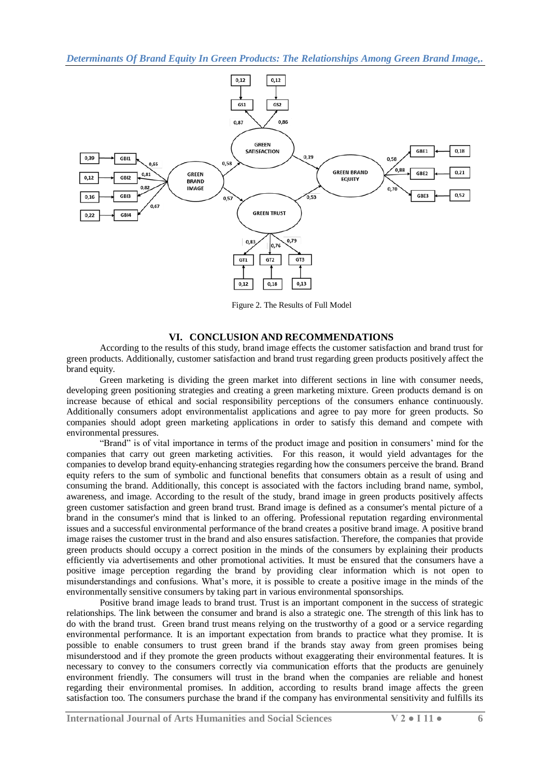*Determinants Of Brand Equity In Green Products: The Relationships Among Green Brand Image,.*



Figure 2. The Results of Full Model

#### **VI. CONCLUSION AND RECOMMENDATIONS**

According to the results of this study, brand image effects the customer satisfaction and brand trust for green products. Additionally, customer satisfaction and brand trust regarding green products positively affect the brand equity.

Green marketing is dividing the green market into different sections in line with consumer needs, developing green positioning strategies and creating a green marketing mixture. Green products demand is on increase because of ethical and social responsibility perceptions of the consumers enhance continuously. Additionally consumers adopt environmentalist applications and agree to pay more for green products. So companies should adopt green marketing applications in order to satisfy this demand and compete with environmental pressures.

"Brand" is of vital importance in terms of the product image and position in consumers' mind for the companies that carry out green marketing activities. For this reason, it would yield advantages for the companies to develop brand equity-enhancing strategies regarding how the consumers perceive the brand. Brand equity refers to the sum of symbolic and functional benefits that consumers obtain as a result of using and consuming the brand. Additionally, this concept is associated with the factors including brand name, symbol, awareness, and image. According to the result of the study, brand image in green products positively affects green customer satisfaction and green brand trust. Brand image is defined as a consumer's mental picture of a brand in the consumer's mind that is linked to an offering. Professional reputation regarding environmental issues and a successful environmental performance of the brand creates a positive brand image. A positive brand image raises the customer trust in the brand and also ensures satisfaction. Therefore, the companies that provide green products should occupy a correct position in the minds of the consumers by explaining their products efficiently via advertisements and other promotional activities. It must be ensured that the consumers have a positive image perception regarding the brand by providing clear information which is not open to misunderstandings and confusions. What's more, it is possible to create a positive image in the minds of the environmentally sensitive consumers by taking part in various environmental sponsorships.

Positive brand image leads to brand trust. Trust is an important component in the success of strategic relationships. The link between the consumer and brand is also a strategic one. The strength of this link has to do with the brand trust. Green brand trust means relying on the trustworthy of a good or a service regarding environmental performance. It is an important expectation from brands to practice what they promise. It is possible to enable consumers to trust green brand if the brands stay away from green promises being misunderstood and if they promote the green products without exaggerating their environmental features. It is necessary to convey to the consumers correctly via communication efforts that the products are genuinely environment friendly. The consumers will trust in the brand when the companies are reliable and honest regarding their environmental promises. In addition, according to results brand image affects the green satisfaction too. The consumers purchase the brand if the company has environmental sensitivity and fulfills its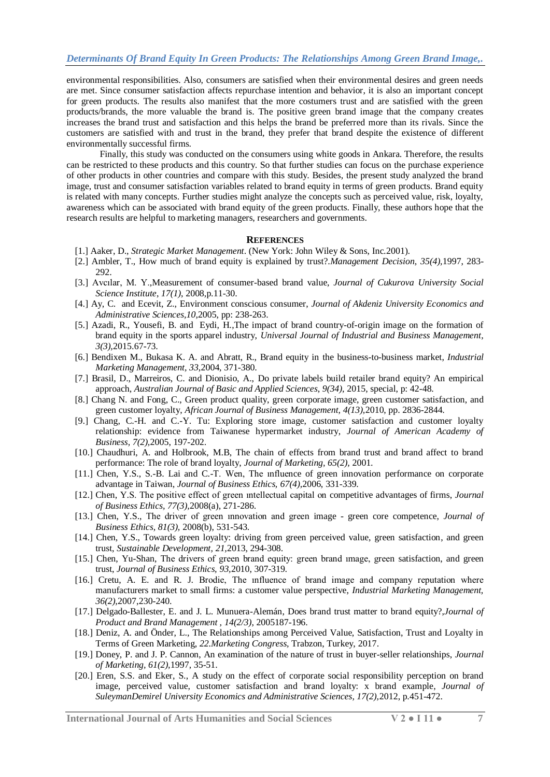environmental responsibilities. Also, consumers are satisfied when their environmental desires and green needs are met. Since consumer satisfaction affects repurchase intention and behavior, it is also an important concept for green products. The results also manifest that the more costumers trust and are satisfied with the green products/brands, the more valuable the brand is. The positive green brand image that the company creates increases the brand trust and satisfaction and this helps the brand be preferred more than its rivals. Since the customers are satisfied with and trust in the brand, they prefer that brand despite the existence of different environmentally successful firms.

Finally, this study was conducted on the consumers using white goods in Ankara. Therefore, the results can be restricted to these products and this country. So that further studies can focus on the purchase experience of other products in other countries and compare with this study. Besides, the present study analyzed the brand image, trust and consumer satisfaction variables related to brand equity in terms of green products. Brand equity is related with many concepts. Further studies might analyze the concepts such as perceived value, risk, loyalty, awareness which can be associated with brand equity of the green products. Finally, these authors hope that the research results are helpful to marketing managers, researchers and governments.

#### **REFERENCES**

- [1.] Aaker, D., *Strategic Market Management*. (New York: John Wiley & Sons, Inc.2001).
- [2.] Ambler, T., How much of brand equity is explained by trust?.*Management Decision*, *35(4),*1997, 283- 292.
- [3.] Avcılar, M. Y.,Measurement of consumer-based brand value, *Journal of Cukurova University Social Science Institute*, *17(1)*, 2008,p.11-30.
- [4.] Ay, C. and Ecevit, Z., Environment conscious consumer, *Journal of Akdeniz University Economics and Administrative Sciences,10,*2005, pp: 238-263.
- [5.] Azadi, R., Yousefi, B. and Eydi, H.,The impact of brand country-of-origin image on the formation of brand equity in the sports apparel industry, *Universal Journal of Industrial and Business Management, 3(3),*2015.67-73.
- [6.] Bendixen M., Bukasa K. A. and Abratt, R., Brand equity in the business-to-business market, *Industrial Marketing Management, 33*,2004, 371-380.
- [7.] Brasil, D., Marreiros, C. and Dionisio, A., Do private labels build retailer brand equity? An empirical approach, *Australian Journal of Basic and Applied Sciences*, *9(34)*, 2015, special, p: 42-48.
- [8.] Chang N. and Fong, C., Green product quality, green corporate image, green customer satisfaction, and green customer loyalty, *African Journal of Business Management, 4(13),*2010, pp. 2836-2844.
- [9.] Chang, C.-H. and C.-Y. Tu: Exploring store image, customer satisfaction and customer loyalty relationship: evidence from Taiwanese hypermarket industry, *Journal of American Academy of Business, 7(2),*2005, 197-202.
- [10.] Chaudhuri, A. and Holbrook, M.B, The chain of effects from brand trust and brand affect to brand performance: The role of brand loyalty, *Journal of Marketing, 65(2),* 2001.
- [11.] Chen, Y.S., S.-B. Lai and C.-T. Wen, The ınfluence of green innovation performance on corporate advantage in Taiwan, *Journal of Business Ethics, 67(4),*2006, 331-339.
- [12.] Chen, Y.S. The positive effect of green ıntellectual capital on competitive advantages of firms, *Journal of Business Ethics, 77(3),*2008(a), 271-286.
- [13.] Chen, Y.S., The driver of green ınnovation and green image green core competence, *Journal of Business Ethics, 81(3),* 2008(b), 531-543.
- [14.] Chen, Y.S., Towards green loyalty: driving from green perceived value, green satisfaction, and green trust, *Sustainable Development, 21,*2013, 294-308.
- [15.] Chen, Yu-Shan, The drivers of green brand equity: green brand ımage, green satisfaction, and green trust, *Journal of Business Ethics, 93,*2010, 307-319.
- [16.] Cretu, A. E. and R. J. Brodie, The ınfluence of brand image and company reputation where manufacturers market to small firms: a customer value perspective, *Industrial Marketing Management, 36(2),*2007,230-240.
- [17.] Delgado-Ballester, E. and J. L. Munuera-Alemán, Does brand trust matter to brand equity?,*Journal of Product and Brand Management , 14(2/3)*, 2005187-196.
- [18.] Deniz, A. and Önder, L., The Relationships among Perceived Value, Satisfaction, Trust and Loyalty in Terms of Green Marketing, *22.Marketing Congress,* Trabzon, Turkey, 2017.
- [19.] Doney, P. and J. P. Cannon, An examination of the nature of trust in buyer-seller relationships, *Journal of Marketing, 61(2),*1997, 35-51.
- [20.] Eren, S.S. and Eker, S., A study on the effect of corporate social responsibility perception on brand image, perceived value, customer satisfaction and brand loyalty: x brand example, *Journal of SuleymanDemirel University Economics and Administrative Sciences, 17(2),*2012, p.451-472.